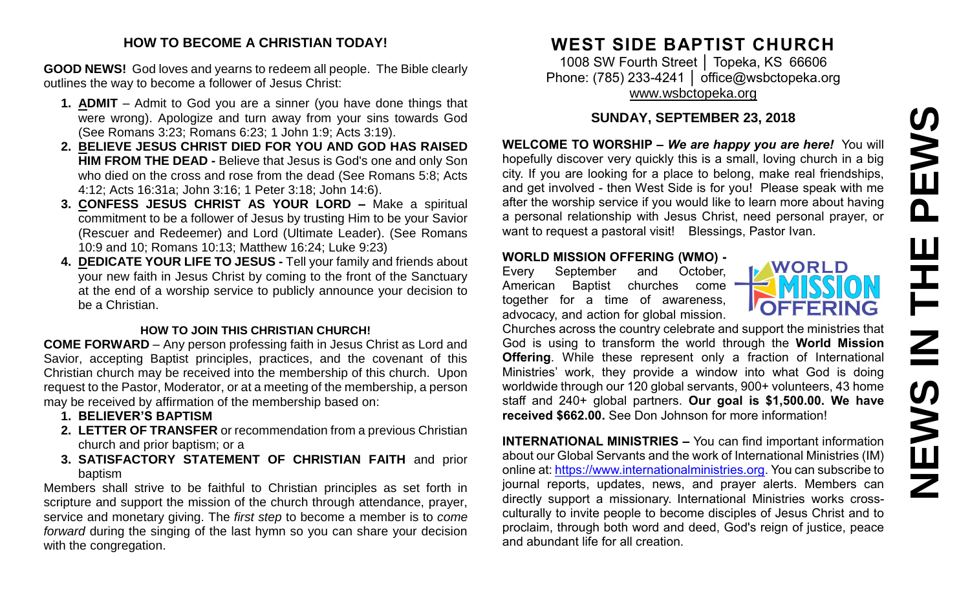# PEWS **NEWS IN THE PEWS**ᅩ  $\overline{z}$ **SWEN**

#### **HOW TO BECOME A CHRISTIAN TODAY!**

**GOOD NEWS!** God loves and yearns to redeem all people. The Bible clearly outlines the way to become a follower of Jesus Christ:

- **1. ADMIT** Admit to God you are a sinner (you have done things that were wrong). Apologize and turn away from your sins towards God (See Romans 3:23; Romans 6:23; 1 John 1:9; Acts 3:19).
- **2. BELIEVE JESUS CHRIST DIED FOR YOU AND GOD HAS RAISED HIM FROM THE DEAD -** Believe that Jesus is God's one and only Son who died on the cross and rose from the dead (See Romans 5:8; Acts 4:12; Acts 16:31a; John 3:16; 1 Peter 3:18; John 14:6).
- **3. CONFESS JESUS CHRIST AS YOUR LORD –** Make a spiritual commitment to be a follower of Jesus by trusting Him to be your Savior (Rescuer and Redeemer) and Lord (Ultimate Leader). (See Romans 10:9 and 10; Romans 10:13; Matthew 16:24; Luke 9:23)
- **4. DEDICATE YOUR LIFE TO JESUS -** Tell your family and friends about your new faith in Jesus Christ by coming to the front of the Sanctuary at the end of a worship service to publicly announce your decision to be a Christian.

#### **HOW TO JOIN THIS CHRISTIAN CHURCH!**

**COME FORWARD** – Any person professing faith in Jesus Christ as Lord and Savior, accepting Baptist principles, practices, and the covenant of this Christian church may be received into the membership of this church. Upon request to the Pastor, Moderator, or at a meeting of the membership, a person may be received by affirmation of the membership based on:

- **1. BELIEVER'S BAPTISM**
- **2. LETTER OF TRANSFER** or recommendation from a previous Christian church and prior baptism; or a
- **3. SATISFACTORY STATEMENT OF CHRISTIAN FAITH** and prior baptism

Members shall strive to be faithful to Christian principles as set forth in scripture and support the mission of the church through attendance, prayer, service and monetary giving. The *first step* to become a member is to *come forward* during the singing of the last hymn so you can share your decision with the congregation.

# **WEST SIDE BAPTIST CHURCH**

1008 SW Fourth Street │ Topeka, KS 66606 Phone: (785) 233-4241 | [office@wsbctopeka.org](mailto:office@wsbctopeka.org) [www.wsbctopeka.org](http://www.wsbctopeka.org/)

# **SUNDAY, SEPTEMBER 23, 2018**

**WELCOME TO WORSHIP –** *We are happy you are here!* You will hopefully discover very quickly this is a small, loving church in a big city. If you are looking for a place to belong, make real friendships, and get involved - then West Side is for you! Please speak with me after the worship service if you would like to learn more about having a personal relationship with Jesus Christ, need personal prayer, or want to request a pastoral visit! Blessings, Pastor Ivan.

#### **WORLD MISSION OFFERING (WMO) -**

Every September and October, American Baptist churches come together for a time of awareness, advocacy, and action for global mission.

**WORLD** OFFERING

Churches across the country celebrate and support the ministries that God is using to transform the world through the **World Mission Offering**. While these represent only a fraction of International Ministries' work, they provide a window into what God is doing worldwide through our 120 global servants, 900+ volunteers, 43 home staff and 240+ global partners. **Our goal is \$1,500.00. We have received \$662.00.** See Don Johnson for more information!

**INTERNATIONAL MINISTRIES –** You can find important information about our Global Servants and the work of International Ministries (IM) online at: [https://www.internationalministries.org.](https://www.internationalministries.org/) You can subscribe to journal reports, updates, news, and prayer alerts. Members can directly support a missionary. International Ministries works crossculturally to invite people to become disciples of Jesus Christ and to proclaim, through both word and deed, God's reign of justice, peace and abundant life for all creation.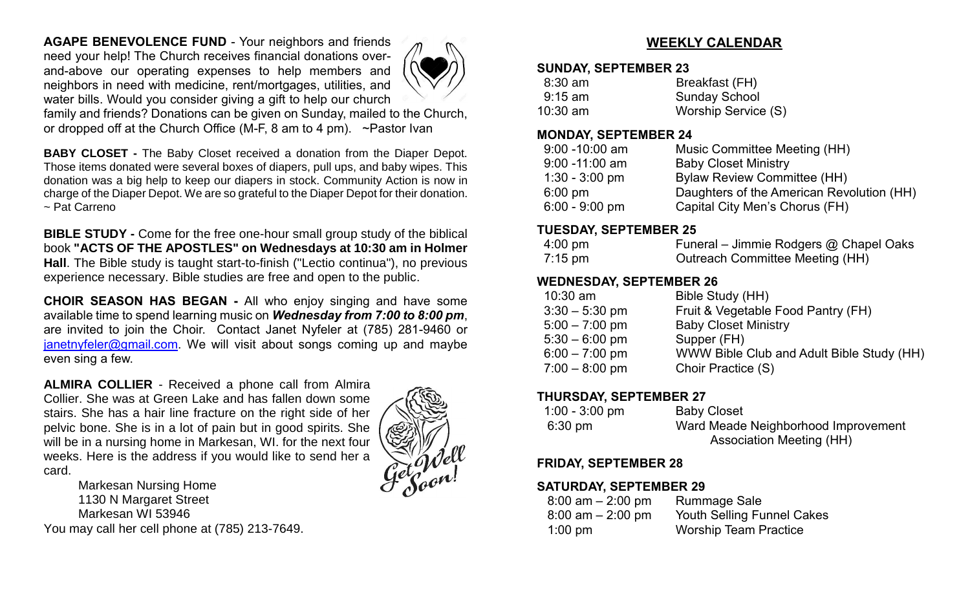**AGAPE BENEVOLENCE FUND** - Your neighbors and friends need your help! The Church receives financial donations overand-above our operating expenses to help members and neighbors in need with medicine, rent/mortgages, utilities, and water bills. Would you consider giving a gift to help our church



family and friends? Donations can be given on Sunday, mailed to the Church, or dropped off at the Church Office (M-F, 8 am to 4 pm). ~Pastor Ivan

**BABY CLOSET -** The Baby Closet received a donation from the Diaper Depot. Those items donated were several boxes of diapers, pull ups, and baby wipes. This donation was a big help to keep our diapers in stock. Community Action is now in charge of the Diaper Depot. We are so grateful to the Diaper Depot for their donation. ~ Pat Carreno

**BIBLE STUDY -** Come for the free one-hour small group study of the biblical book **"ACTS OF THE APOSTLES" on Wednesdays at 10:30 am in Holmer Hall**. The Bible study is taught start-to-finish ("Lectio continua"), no previous experience necessary. Bible studies are free and open to the public.

**CHOIR SEASON HAS BEGAN -** All who enjoy singing and have some available time to spend learning music on *Wednesday from 7:00 to 8:00 pm*, are invited to join the Choir. Contact Janet Nyfeler at (785) 281-9460 or [janetnyfeler@gmail.com.](mailto:janetnyfeler@gmail.com) We will visit about songs coming up and maybe even sing a few.

**ALMIRA COLLIER** - Received a phone call from Almira Collier. She was at Green Lake and has fallen down some stairs. She has a hair line fracture on the right side of her pelvic bone. She is in a lot of pain but in good spirits. She will be in a nursing home in Markesan, WI. for the next four weeks. Here is the address if you would like to send her a card.

Markesan Nursing Home 1130 N Margaret Street Markesan WI 53946 You may call her cell phone at (785) 213-7649.



# **WEEKLY CALENDAR**

#### **SUNDAY, SEPTEMBER 23**

| $8:30$ am  | Breakfast (FH)       |
|------------|----------------------|
| $9:15$ am  | <b>Sunday School</b> |
| $10:30$ am | Worship Service (S)  |

#### **MONDAY, SEPTEMBER 24**

| $9:00 - 10:00$ am | Music Committee Meeting (HH)              |
|-------------------|-------------------------------------------|
| $9:00 - 11:00$ am | <b>Baby Closet Ministry</b>               |
| $1:30 - 3:00$ pm  | <b>Bylaw Review Committee (HH)</b>        |
| $6:00 \text{ pm}$ | Daughters of the American Revolution (HH) |
| $6:00 - 9:00$ pm  | Capital City Men's Chorus (FH)            |

#### **TUESDAY, SEPTEMBER 25**

| $4:00 \text{ pm}$ | Funeral – Jimmie Rodgers @ Chapel Oaks |
|-------------------|----------------------------------------|
| 7:15 pm           | Outreach Committee Meeting (HH)        |

# **WEDNESDAY, SEPTEMBER 26**

| $10:30$ am       | Bible Study (HH)                          |
|------------------|-------------------------------------------|
| $3:30 - 5:30$ pm | Fruit & Vegetable Food Pantry (FH)        |
| $5:00 - 7:00$ pm | <b>Baby Closet Ministry</b>               |
| $5:30 - 6:00$ pm | Supper (FH)                               |
| $6:00 - 7:00$ pm | WWW Bible Club and Adult Bible Study (HH) |
| $7:00 - 8:00$ pm | Choir Practice (S)                        |
|                  |                                           |

#### **THURSDAY, SEPTEMBER 27**

| $1:00 - 3:00$ pm  | <b>Baby Closet</b>                  |
|-------------------|-------------------------------------|
| $6:30 \text{ pm}$ | Ward Meade Neighborhood Improvement |
|                   | Association Meeting (HH)            |

# **FRIDAY, SEPTEMBER 28**

# **SATURDAY, SEPTEMBER 29**

| $8:00$ am $-2:00$ pm | <b>Rummage Sale</b>               |
|----------------------|-----------------------------------|
| $8:00$ am $-2:00$ pm | <b>Youth Selling Funnel Cakes</b> |
| $1:00$ pm            | <b>Worship Team Practice</b>      |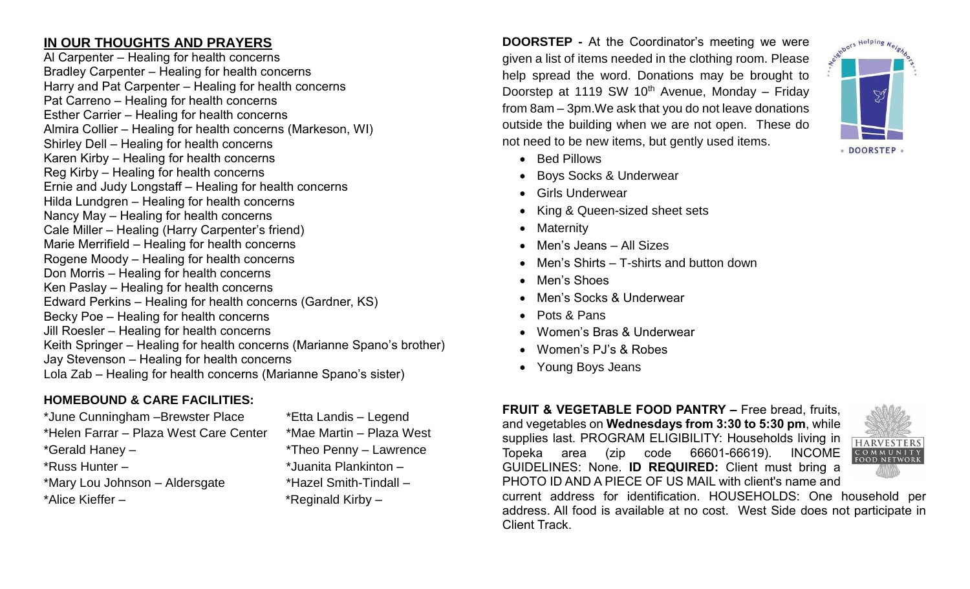# **IN OUR THOUGHTS AND PRAYERS**

Al Carpenter – Healing for health concerns Bradley Carpenter – Healing for health concerns Harry and Pat Carpenter – Healing for health concerns Pat Carreno – Healing for health concerns Esther Carrier – Healing for health concerns Almira Collier – Healing for health concerns (Markeson, WI) Shirley Dell – Healing for health concerns Karen Kirby – Healing for health concerns Reg Kirby – Healing for health concerns Ernie and Judy Longstaff – Healing for health concerns Hilda Lundgren – Healing for health concerns Nancy May – Healing for health concerns Cale Miller – Healing (Harry Carpenter's friend) Marie Merrifield – Healing for health concerns Rogene Moody – Healing for health concerns Don Morris – Healing for health concerns Ken Paslay – Healing for health concerns Edward Perkins – Healing for health concerns (Gardner, KS) Becky Poe – Healing for health concerns Jill Roesler – Healing for health concerns Keith Springer – Healing for health concerns (Marianne Spano's brother) Jay Stevenson – Healing for health concerns Lola Zab – Healing for health concerns (Marianne Spano's sister)

# **HOMEBOUND & CARE FACILITIES:**

\*June Cunningham –Brewster Place \*Etta Landis – Legend \*Helen Farrar – Plaza West Care Center \*Mae Martin – Plaza West \*Gerald Haney – \*Theo Penny – Lawrence \*Russ Hunter – \*Juanita Plankinton – \*Mary Lou Johnson – Aldersgate \*Hazel Smith-Tindall – \*Alice Kieffer – \* \*Reginald Kirby –

**DOORSTEP -** At the Coordinator's meeting we were given a list of items needed in the clothing room. Please help spread the word. Donations may be brought to Doorstep at 1119 SW 10<sup>th</sup> Avenue, Monday – Friday from 8am – 3pm.We ask that you do not leave donations outside the building when we are not open. These do not need to be new items, but gently used items.

- Bed Pillows
- Boys Socks & Underwear
- Girls Underwear
- King & Queen-sized sheet sets
- Maternity
- Men's Jeans All Sizes
- Men's Shirts T-shirts and button down
- Men's Shoes
- Men's Socks & Underwear
- Pots & Pans
- Women's Bras & Underwear
- Women's PJ's & Robes
- Young Boys Jeans

#### **FRUIT & VEGETABLE FOOD PANTRY –** Free bread, fruits, and vegetables on **Wednesdays from 3:30 to 5:30 pm**, while supplies last. PROGRAM ELIGIBILITY: Households living in Topeka area (zip code 66601-66619). INCOME GUIDELINES: None. **ID REQUIRED:** Client must bring a PHOTO ID AND A PIECE OF US MAIL with client's name and





**HARVESTER:**